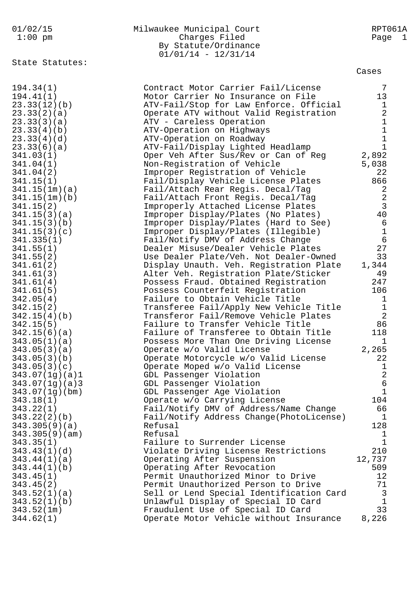|  |  |                   | 01/02/15  |
|--|--|-------------------|-----------|
|  |  | 1 . $\cap$ $\cap$ | $- - - -$ |

## Milwaukee Municipal Court **RPT061A** 1:00 pm Charges Filed Page 1 By Statute/Ordinance  $01/01/14 - 12/31/14$

State Statutes:

Cases

| 194.34(1)      | Contract Motor Carrier Fail/License      | 7               |
|----------------|------------------------------------------|-----------------|
| 194.41(1)      | Motor Carrier No Insurance on File       | 13              |
| 23.33(12)(b)   | ATV-Fail/Stop for Law Enforce. Official  | $\mathbf{1}$    |
| 23.33(2)(a)    | Operate ATV without Valid Registration   | $\overline{a}$  |
| 23.33(3)(a)    | ATV - Careless Operation                 | $\mathbf{1}$    |
| 23.33(4)(b)    | ATV-Operation on Highways                | $\mathbf{1}$    |
| 23.33(4)(d)    | ATV-Operation on Roadway                 | $\mathbf{1}$    |
| 23.33(6)(a)    | ATV-Fail/Display Lighted Headlamp        | $\mathbf{1}$    |
| 341.03(1)      | Oper Veh After Sus/Rev or Can of Reg     | 2,892           |
| 341.04(1)      | Non-Registration of Vehicle              | 5,038           |
| 341.04(2)      | Improper Registration of Vehicle         | 22              |
| 341.15(1)      | Fail/Display Vehicle License Plates      | 866             |
| 341.15(1m)(a)  | Fail/Attach Rear Regis. Decal/Tag        | 2               |
| 341.15(1m)(b)  | Fail/Attach Front Regis. Decal/Tag       | 2               |
| 341.15(2)      | Improperly Attached License Plates       | $\overline{3}$  |
| 341.15(3)(a)   | Improper Display/Plates (No Plates)      | 40              |
| 341.15(3)(b)   | Improper Display/Plates (Hard to See)    | 6               |
| 341.15(3)(c)   | Improper Display/Plates (Illegible)      | $\mathbf{1}$    |
| 341.335(1)     | Fail/Notify DMV of Address Change        | 6               |
| 341.55(1)      | Dealer Misuse/Dealer Vehicle Plates      | 27              |
| 341.55(2)      | Use Dealer Plate/Veh. Not Dealer-Owned   | 33              |
| 341.61(2)      | Display Unauth. Veh. Registration Plate  | 1,344           |
| 341.61(3)      | Alter Veh. Registration Plate/Sticker    | 49              |
| 341.61(4)      | Possess Fraud. Obtained Registration     | 247             |
| 341.61(5)      | Possess Counterfeit Registration         | 106             |
| 342.05(4)      | Failure to Obtain Vehicle Title          | $\mathbf{1}$    |
| 342.15(2)      | Transferee Fail/Apply New Vehicle Title  | $\mathbf{1}$    |
| 342.15(4)(b)   | Transferor Fail/Remove Vehicle Plates    | 2               |
| 342.15(5)      | Failure to Transfer Vehicle Title        | 86              |
| 342.15(6)(a)   | Failure of Transferee to Obtain Title    | 118             |
| 343.05(1)(a)   | Possess More Than One Driving License    | $\mathbf{1}$    |
| 343.05(3)(a)   | Operate w/o Valid License                | 2,265           |
| 343.05(3)(b)   | Operate Motorcycle w/o Valid License     | 22              |
| 343.05(3)(c)   | Operate Moped w/o Valid License          | $\mathbf{1}$    |
| 343.07(1g)(a)1 | GDL Passenger Violation                  | $\overline{a}$  |
| 343.07(1g)(a)3 | GDL Passenger Violation                  | $6\overline{6}$ |
| 343.07(1g)(bm) | GDL Passenger Age Violation              | $\mathbf 1$     |
| 343.18(1)      | Operate w/o Carrying License             | 104             |
| 343.22(1)      | Fail/Notify DMV of Address/Name Change   | 66              |
| 343.22(2)(b)   | Fail/Notify Address Change(PhotoLicense) | $\mathbf 1$     |
| 343.305(9)(a)  | Refusal                                  | 128             |
| 343.305(9)(am) | Refusal                                  | 1               |
| 343.35(1)      | Failure to Surrender License             | $\mathbf{1}$    |
| 343.43(1)(d)   | Violate Driving License Restrictions     | 210             |
| 343.44(1)(a)   | Operating After Suspension               | 12,737          |
| 343.44(1)(b)   | Operating After Revocation               | 509             |
| 343.45(1)      | Permit Unauthorized Minor to Drive       | 12              |
| 343.45(2)      | Permit Unauthorized Person to Drive      | 71              |
| 343.52(1)(a)   | Sell or Lend Special Identification Card | 3               |
| 343.52(1)(b)   | Unlawful Display of Special ID Card      | $\mathbf{1}$    |
| 343.52(1m)     | Fraudulent Use of Special ID Card        | 33              |
| 344.62(1)      | Operate Motor Vehicle without Insurance  | 8,226           |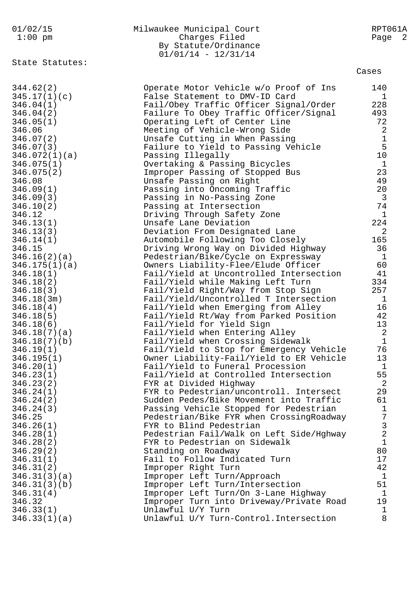| 01/02/15                | Milwaukee Municipal Court                                                    | RPT061A        |
|-------------------------|------------------------------------------------------------------------------|----------------|
| $1:00$ pm               | Charges Filed                                                                | Page 2         |
|                         | By Statute/Ordinance                                                         |                |
|                         | $01/01/14 - 12/31/14$                                                        |                |
| State Statutes:         |                                                                              |                |
|                         |                                                                              | Cases          |
| 344.62(2)               | Operate Motor Vehicle w/o Proof of Ins                                       | 140            |
| 345.17(1)(c)            | False Statement to DMV-ID Card                                               | 1              |
| 346.04(1)               | Fail/Obey Traffic Officer Signal/Order                                       | 228            |
| 346.04(2)               | Failure To Obey Traffic Officer/Signal                                       | 493            |
| 346.05(1)               | Operating Left of Center Line                                                | 72             |
| 346.06                  | Meeting of Vehicle-Wrong Side                                                | 2              |
| 346.07(2)               | Unsafe Cutting in When Passing                                               | $\mathbf 1$    |
| 346.07(3)               | Failure to Yield to Passing Vehicle                                          | 5              |
| 346.072(1)(a)           | Passing Illegally                                                            | 10             |
| 346.075(1)              | Overtaking & Passing Bicycles                                                | $\mathbf 1$    |
| 346.075(2)              | Improper Passing of Stopped Bus                                              | 23             |
| 346.08                  | Unsafe Passing on Right                                                      | 49             |
| 346.09(1)               | Passing into Oncoming Traffic                                                | 20             |
| 346.09(3)               | Passing in No-Passing Zone                                                   | $\overline{3}$ |
| 346.10(2)               | Passing at Intersection                                                      | 74             |
| 346.12                  | Driving Through Safety Zone                                                  | 1              |
| 346.13(1)               | Unsafe Lane Deviation                                                        | 224            |
| 346.13(3)               | Deviation From Designated Lane                                               | 2              |
| 346.14(1)               | Automobile Following Too Closely                                             | 165            |
| 346.15                  | Driving Wrong Way on Divided Highway                                         | 36             |
| 346.16(2)(a)            | Pedestrian/Bike/Cycle on Expressway                                          | $\mathbf{1}$   |
| 346.175(1)(a)           | Owners Liability-Flee/Elude Officer                                          | 60             |
| 346.18(1)               | Fail/Yield at Uncontrolled Intersection                                      | 41             |
| 346.18(2)               | Fail/Yield while Making Left Turn                                            | 334            |
| 346.18(3)               | Fail/Yield Right/Way from Stop Sign                                          | 257            |
| 346.18(3m)              | Fail/Yield/Uncontrolled T Intersection                                       | $\mathbf{1}$   |
| 346.18(4)               | Fail/Yield when Emerging from Alley                                          | 16             |
| 346.18(5)               | Fail/Yield Rt/Way from Parked Position                                       | 42             |
| 346.18(6)               | Fail/Yield for Yield Sign                                                    | 13             |
| 346.18(7)(a)            | Fail/Yield when Entering Alley                                               | $\overline{2}$ |
| 346.18(7)(b)            | Fail/Yield when Crossing Sidewalk                                            | $\mathbf{1}$   |
| 346.19(1)               | Fail/Yield to Stop for Emergency Vehicle                                     | 76<br>13       |
| 346.195(1)<br>346.20(1) | Owner Liability-Fail/Yield to ER Vehicle<br>Fail/Yield to Funeral Procession | $\mathbf{1}$   |
| 346.23(1)               | Fail/Yield at Controlled Intersection                                        | 55             |
| 346.23(2)               | FYR at Divided Highway                                                       | 2              |
| 346.24(1)               | FYR to Pedestrian/uncontroll. Intersect                                      | 29             |
| 346.24(2)               | Sudden Pedes/Bike Movement into Traffic                                      | 61             |
| 346.24(3)               | Passing Vehicle Stopped for Pedestrian                                       | 1              |
| 346.25                  | Pedestrian/Bike FYR when CrossingRoadway                                     | $\overline{7}$ |
| 346.26(1)               | FYR to Blind Pedestrian                                                      | $\mathsf{3}$   |
| 346.28(1)               | Pedestrian Fail/Walk on Left Side/Hghway                                     | $\overline{a}$ |
| 346.28(2)               | FYR to Pedestrian on Sidewalk                                                | $\mathbf{1}$   |
| 346.29(2)               | Standing on Roadway                                                          | 80             |
| 346.31(1)               | Fail to Follow Indicated Turn                                                | 17             |
| 346.31(2)               | Improper Right Turn                                                          | 42             |
| 346.31(3)(a)            | Improper Left Turn/Approach                                                  | 1              |
| 346.31(3)(b)            | Improper Left Turn/Intersection                                              | 51             |
| 346.31(4)               | Improper Left Turn/On 3-Lane Highway                                         | $\mathbf{1}$   |
| 346.32                  | Improper Turn into Driveway/Private Road                                     | 19             |
| 346.33(1)               | Unlawful U/Y Turn                                                            | 1              |
| 346.33(1)(a)            | Unlawful U/Y Turn-Control. Intersection                                      | 8              |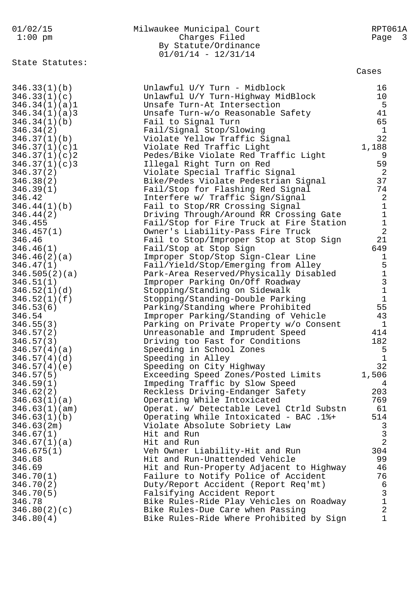| 01/02/15<br>$1:00$ pm          | Milwaukee Municipal Court<br>Charges Filed<br>By Statute/Ordinance<br>$01/01/14 - 12/31/14$ | RPT061A<br>Page<br>$\overline{\phantom{a}}$ 3 |
|--------------------------------|---------------------------------------------------------------------------------------------|-----------------------------------------------|
| State Statutes:                |                                                                                             | Cases                                         |
| 346.33(1)(b)                   | Unlawful U/Y Turn - Midblock                                                                | 16<br>10                                      |
| 346.33(1)(c)<br>346.34(1)(a)1  | Unlawful U/Y Turn-Highway MidBlock<br>Unsafe Turn-At Intersection                           | 5                                             |
| 346.34(1)(a)3                  | Unsafe Turn-w/o Reasonable Safety                                                           | 41                                            |
| 346.34(1)(b)                   | Fail to Signal Turn                                                                         | 65                                            |
| 346.34(2)                      | Fail/Signal Stop/Slowing                                                                    | $\mathbf{1}$                                  |
| 346.37(1)(b)                   | Violate Yellow Traffic Signal                                                               | 32                                            |
| 346.37(1)(c)1                  | Violate Red Traffic Light                                                                   | 1,188                                         |
| 346.37(1)(c)2<br>346.37(1)(c)3 | Pedes/Bike Violate Red Traffic Light<br>Illegal Right Turn on Red                           | 9<br>59                                       |
| 346.37(2)                      | Violate Special Traffic Signal                                                              | $\overline{\phantom{0}}^2$                    |
| 346.38(2)                      | Bike/Pedes Violate Pedestrian Signal                                                        | 37                                            |
| 346.39(1)                      | Fail/Stop for Flashing Red Signal                                                           | 74                                            |
| 346.42                         | Interfere w/ Traffic Sign/Signal                                                            | $\sqrt{2}$                                    |
| 346.44(1)(b)                   | Fail to Stop/RR Crossing Signal                                                             | $\mathbf 1$                                   |
| 346.44(2)<br>346.455           | Driving Through/Around RR Crossing Gate<br>Fail/Stop for Fire Truck at Fire Station         | $\mathbf 1$<br>$\mathbf 1$                    |
| 346.457(1)                     | Owner's Liability-Pass Fire Truck                                                           | $\overline{2}$                                |
| 346.46                         | Fail to Stop/Improper Stop at Stop Sign                                                     | 21                                            |
| 346.46(1)                      | Fail/Stop at Stop Sign                                                                      | 649                                           |
| 346.46(2)(a)                   | Improper Stop/Stop Sign-Clear Line                                                          | $\mathbf 1$                                   |
| 346.47(1)                      | Fail/Yield/Stop/Emerging from Alley                                                         | $\mathsf S$<br>$\mathbf{1}$                   |
| 346.505(2)(a)<br>346.51(1)     | Park-Area Reserved/Physically Disabled<br>Improper Parking On/Off Roadway                   | $\mathbf{3}$                                  |
| 346.52(1)(d)                   | Stopping/Standing on Sidewalk                                                               | $\mathbf 1$                                   |
| 346.52(1)(f)                   | Stopping/Standing-Double Parking                                                            | $\mathbf{1}$                                  |
| 346.53(6)                      | Parking/Standing where Prohibited                                                           | 55                                            |
| 346.54                         | Improper Parking/Standing of Vehicle                                                        | 43                                            |
| 346.55(3)                      | Parking on Private Property w/o Consent                                                     | 1                                             |
| 346.57(2)<br>346.57(3)         | Unreasonable and Imprudent Speed<br>Driving too Fast for Conditions                         | 414<br>182                                    |
| 346.57(4)(a)                   | Speeding in School Zones                                                                    | 5                                             |
| 346.57(4)(d)                   | Speeding in Alley                                                                           | $\mathbf{1}$                                  |
| 346.57(4)(e)                   | Speeding on City Highway                                                                    | 32                                            |
| 346.57(5)                      | Exceeding Speed Zones/Posted Limits                                                         | 1,506                                         |
| 346.59(1)                      | Impeding Traffic by Slow Speed<br>Reckless Driving-Endanger Safety                          | 4<br>203                                      |
| 346.62(2)<br>346.63(1)(a)      | Operating While Intoxicated                                                                 | 769                                           |
| 346.63(1)(am)                  | Operat. w/ Detectable Level Ctrld Substn                                                    | 61                                            |
| 346.63(1)(b)                   | Operating While Intoxicated - BAC .1%+                                                      | 514                                           |
| 346.63(2m)                     | Violate Absolute Sobriety Law                                                               | 3                                             |
| 346.67(1)                      | Hit and Run                                                                                 | $\mathbf{3}$                                  |
| 346.67(1)(a)<br>346.675(1)     | Hit and Run<br>Veh Owner Liability-Hit and Run                                              | $\overline{2}$<br>304                         |
| 346.68                         | Hit and Run-Unattended Vehicle                                                              | 99                                            |
| 346.69                         | Hit and Run-Property Adjacent to Highway                                                    | 46                                            |
| 346.70(1)                      | Failure to Notify Police of Accident                                                        | 76                                            |
| 346.70(2)                      | Duty/Report Accident (Report Req'mt)                                                        | $\epsilon$                                    |
| 346.70(5)                      | Falsifying Accident Report                                                                  | $\mathbf{3}$                                  |
| 346.78<br>346.80(2)(c)         | Bike Rules-Ride Play Vehicles on Roadway<br>Bike Rules-Due Care when Passing                | $\mathbf 1$<br>$\overline{a}$                 |
| 346.80(4)                      | Bike Rules-Ride Where Prohibited by Sign                                                    | $\mathbf{1}$                                  |
|                                |                                                                                             |                                               |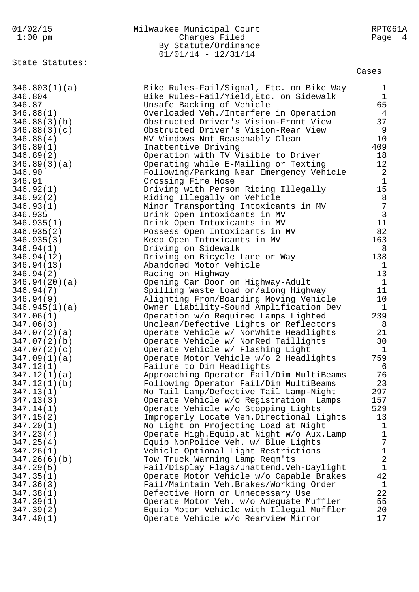| 01/02/15                 | Milwaukee Municipal Court                                                           | RPT061A                     |
|--------------------------|-------------------------------------------------------------------------------------|-----------------------------|
| $1:00$ pm                | Charges Filed                                                                       | Page 4                      |
|                          | By Statute/Ordinance                                                                |                             |
|                          | $01/01/14 - 12/31/14$                                                               |                             |
| State Statutes:          |                                                                                     |                             |
|                          |                                                                                     | Cases                       |
|                          |                                                                                     |                             |
| 346.803(1)(a)<br>346.804 | Bike Rules-Fail/Signal, Etc. on Bike Way<br>Bike Rules-Fail/Yield, Etc. on Sidewalk | $\mathbf 1$<br>$\mathbf{1}$ |
| 346.87                   | Unsafe Backing of Vehicle                                                           | 65                          |
| 346.88(1)                | Overloaded Veh./Interfere in Operation                                              | $\overline{4}$              |
| 346.88(3)(b)             | Obstructed Driver's Vision-Front View                                               | 37                          |
| 346.88(3)(c)             | Obstructed Driver's Vision-Rear View                                                | 9                           |
| 346.88(4)                | MV Windows Not Reasonably Clean                                                     | 10                          |
| 346.89(1)                | Inattentive Driving                                                                 | 409                         |
| 346.89(2)                | Operation with TV Visible to Driver                                                 | 18                          |
| 346.89(3)(a)             | Operating while E-Mailing or Texting                                                | 12                          |
| 346.90                   | Following/Parking Near Emergency Vehicle                                            | 2                           |
| 346.91                   | Crossing Fire Hose                                                                  | $\mathbf{1}$                |
| 346.92(1)                | Driving with Person Riding Illegally                                                | 15                          |
| 346.92(2)                | Riding Illegally on Vehicle                                                         | 8                           |
| 346.93(1)                | Minor Transporting Intoxicants in MV                                                | $7\phantom{.0}$             |
| 346.935                  | Drink Open Intoxicants in MV                                                        | 3                           |
| 346.935(1)               | Drink Open Intoxicants in MV                                                        | 11                          |
| 346.935(2)               | Possess Open Intoxicants in MV                                                      | 82                          |
| 346.935(3)               | Keep Open Intoxicants in MV                                                         | 163                         |
| 346.94(1)                | Driving on Sidewalk                                                                 | 8                           |
| 346.94(12)               | Driving on Bicycle Lane or Way                                                      | 138                         |
| 346.94(13)               | Abandoned Motor Vehicle                                                             | 1                           |
| 346.94(2)                | Racing on Highway                                                                   | 13                          |
| 346.94(20)(a)            | Opening Car Door on Highway-Adult                                                   | $\mathbf{1}$                |
| 346.94(7)                | Spilling Waste Load on/along Highway                                                | 11                          |
| 346.94(9)                | Alighting From/Boarding Moving Vehicle                                              | 10                          |
| 346.945(1)(a)            | Owner Liability-Sound Amplification Dev                                             | 1                           |
| 347.06(1)                | Operation w/o Required Lamps Lighted                                                | 239                         |
| 347.06(3)                | Unclean/Defective Lights or Reflectors                                              | - 8                         |
| 347.07(2)(a)             | Operate Vehicle w/ NonWhite Headlights                                              | 21                          |
| 347.07(2)(b)             | Operate Vehicle w/ NonRed Taillights                                                | 30                          |
| 347.07(2)(c)             | Operate Vehicle w/ Flashing Light                                                   | $\mathbf 1$                 |
| 347.09(1)(a)             | Operate Motor Vehicle w/o 2 Headlights                                              | 759                         |
| 347.12(1)                | Failure to Dim Headlights                                                           | 6                           |
| 347.12(1)(a)             | Approaching Operator Fail/Dim MultiBeams                                            | 76                          |
| 347.12(1)(b)             | Following Operator Fail/Dim MultiBeams                                              | 23                          |
| 347.13(1)                | No Tail Lamp/Defective Tail Lamp-Night                                              | 297                         |
| 347.13(3)                | Operate Vehicle w/o Registration Lamps                                              | 157                         |
| 347.14(1)                | Operate Vehicle w/o Stopping Lights                                                 | 529                         |
| 347.15(2)                | Improperly Locate Veh.Directional Lights                                            | 13                          |
| 347.20(1)                | No Light on Projecting Load at Night                                                | $\mathbf{1}$                |
| 347.23(4)                | Operate High. Equip. at Night w/o Aux. Lamp                                         | $\mathbf{1}$                |
| 347.25(4)                | Equip NonPolice Veh. w/ Blue Lights                                                 | 7                           |
| 347.26(1)                | Vehicle Optional Light Restrictions                                                 | $\mathbf 1$                 |
| 347.26(6)(b)             | Tow Truck Warning Lamp Reqm'ts                                                      | $\overline{2}$              |
| 347.29(5)                | Fail/Display Flags/Unattend.Veh-Daylight                                            | $\mathbf{1}$                |
| 347.35(1)                | Operate Motor Vehicle w/o Capable Brakes                                            | 42                          |
| 347.36(3)                | Fail/Maintain Veh.Brakes/Working Order                                              | $\mathbf{1}$                |
| 347.38(1)                | Defective Horn or Unnecessary Use                                                   | 22                          |
| 347.39(1)                | Operate Motor Veh. w/o Adequate Muffler                                             | 55                          |
| 347.39(2)                | Equip Motor Vehicle with Illegal Muffler                                            | 20                          |
| 347.40(1)                | Operate Vehicle w/o Rearview Mirror                                                 | 17                          |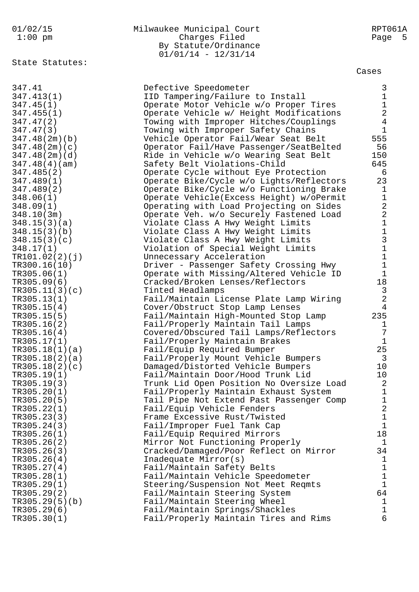## 01/02/15 Milwaukee Municipal Court RPT061A 1:00 pm Charges Filed Page 5 By Statute/Ordinance 01/01/14 - 12/31/14

State Statutes:

| State Statutes: |                                           | Cases                                             |
|-----------------|-------------------------------------------|---------------------------------------------------|
| 347.41          | Defective Speedometer                     | 3                                                 |
| 347.413(1)      | IID Tampering/Failure to Install          | $1\,$                                             |
| 347.45(1)       | Operate Motor Vehicle w/o Proper Tires    | $\mathbf 1$                                       |
| 347.455(1)      | Operate Vehicle w/ Height Modifications   | $\overline{2}$                                    |
| 347.47(2)       | Towing with Improper Hitches/Couplings    | $\overline{4}$                                    |
| 347.47(3)       | Towing with Improper Safety Chains        | $\mathbf{1}$                                      |
| 347.48(2m)(b)   | Vehicle Operator Fail/Wear Seat Belt      | 555                                               |
| 347.48(2m)(c)   | Operator Fail/Have Passenger/SeatBelted   | 56                                                |
| 347.48(2m)(d)   | Ride in Vehicle w/o Wearing Seat Belt     | 150                                               |
| 347.48(4)(am)   | Safety Belt Violations-Child              | 645                                               |
| 347.485(2)      | Operate Cycle without Eye Protection      | 6                                                 |
| 347.489(1)      | Operate Bike/Cycle w/o Lights/Reflectors  | 23                                                |
| 347.489(2)      | Operate Bike/Cycle w/o Functioning Brake  | $\mathbf 1$                                       |
| 348.06(1)       | Operate Vehicle (Excess Height) w/oPermit | $1\,$                                             |
| 348.09(1)       | Operating with Load Projecting on Sides   | $\overline{a}$                                    |
| 348.10(3m)      | Operate Veh. w/o Securely Fastened Load   | $\overline{a}$                                    |
| 348.15(3)(a)    | Violate Class A Hwy Weight Limits         |                                                   |
| 348.15(3)(b)    | Violate Class A Hwy Weight Limits         |                                                   |
| 348.15(3)(c)    | Violate Class A Hwy Weight Limits         | $\begin{array}{c}\n1 \\ 1 \\ 3 \\ 1\n\end{array}$ |
| 348.17(1)       | Violation of Special Weight Limits        |                                                   |
| TR101.02(2)(j)  | Unnecessary Acceleration                  |                                                   |
| TR300.16(10)    | Driver - Passenger Safety Crossing Hwy    | $\mathbf 1$                                       |
| TR305.06(1)     | Operate with Missing/Altered Vehicle ID   | $1\,$                                             |
| TR305.09(6)     | Cracked/Broken Lenses/Reflectors          | 18                                                |
| TR305.11(3)(c)  | Tinted Headlamps                          | $\mathbf{3}$                                      |
| TR305.13(1)     | Fail/Maintain License Plate Lamp Wiring   | $\overline{2}$                                    |
| TR305.15(4)     | Cover/Obstruct Stop Lamp Lenses           | 4                                                 |
| TR305.15(5)     | Fail/Maintain High-Mounted Stop Lamp      | 235                                               |
| TR305.16(2)     | Fail/Properly Maintain Tail Lamps         | $\mathbf 1$                                       |
| TR305.16(4)     | Covered/Obscured Tail Lamps/Reflectors    | 7                                                 |
| TR305.17(1)     | Fail/Properly Maintain Brakes             | $\mathbf{1}$                                      |
| TR305.18(1)(a)  | Fail/Equip Required Bumper                | 25                                                |
| TR305.18(2)(a)  | Fail/Properly Mount Vehicle Bumpers       | $\overline{3}$                                    |
| TR305.18(2)(c)  | Damaged/Distorted Vehicle Bumpers         | 10                                                |
| TR305.19(1)     | Fail/Maintain Door/Hood Trunk Lid         | 10                                                |
| TR305.19(3)     | Trunk Lid Open Position No Oversize Load  | 2                                                 |
| TR305.20(1)     | Fail/Properly Maintain Exhaust System     | $\mathbf 1$                                       |
| TR305.20(5)     | Tail Pipe Not Extend Past Passenger Comp  | $\mathbf 1$                                       |
| TR305.22(1)     | Fail/Equip Vehicle Fenders                | $\sqrt{2}$                                        |
| TR305.23(3)     | Frame Excessive Rust/Twisted              | $\mathbf 1$                                       |
| TR305.24(3)     | Fail/Improper Fuel Tank Cap               | $\mathbf 1$                                       |
| TR305.26(1)     | Fail/Equip Required Mirrors               | 18                                                |
| TR305.26(2)     | Mirror Not Functioning Properly           | $\mathbf{1}$                                      |
| TR305.26(3)     | Cracked/Damaged/Poor Reflect on Mirror    | 34                                                |
| TR305.26(4)     | Inadequate Mirror(s)                      | $\mathbf 1$                                       |
| TR305.27(4)     | Fail/Maintain Safety Belts                | $\mathbf 1$                                       |
| TR305.28(1)     | Fail/Maintain Vehicle Speedometer         | $\mathbf 1$                                       |
| TR305.29(1)     | Steering/Suspension Not Meet Reqmts       | $1\,$                                             |
| TR305.29(2)     | Fail/Maintain Steering System             | 64                                                |
| TR305.29(5)(b)  | Fail/Maintain Steering Wheel              | $\mathbf{1}$                                      |
| TR305.29(6)     | Fail/Maintain Springs/Shackles            | $\mathbf 1$                                       |
| TR305.30(1)     | Fail/Properly Maintain Tires and Rims     | 6                                                 |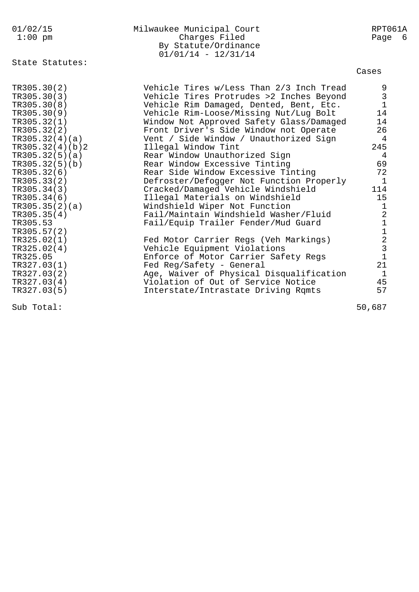| 01/02/15<br>$1:00$ pm                                                                                                                                                                                                                                                                                                 | Milwaukee Municipal Court<br>Charges Filed<br>By Statute/Ordinance<br>$01/01/14 - 12/31/14$                                                                                                                                                                                                                                                                                                                                                                                                                                                                                                                                                                                                                                                             | RPT061A<br>Page<br>- 6                                                                                                                                                                      |
|-----------------------------------------------------------------------------------------------------------------------------------------------------------------------------------------------------------------------------------------------------------------------------------------------------------------------|---------------------------------------------------------------------------------------------------------------------------------------------------------------------------------------------------------------------------------------------------------------------------------------------------------------------------------------------------------------------------------------------------------------------------------------------------------------------------------------------------------------------------------------------------------------------------------------------------------------------------------------------------------------------------------------------------------------------------------------------------------|---------------------------------------------------------------------------------------------------------------------------------------------------------------------------------------------|
| State Statutes:                                                                                                                                                                                                                                                                                                       |                                                                                                                                                                                                                                                                                                                                                                                                                                                                                                                                                                                                                                                                                                                                                         | Cases                                                                                                                                                                                       |
| TR305.30(2)<br>TR305.30(3)<br>TR305.30(8)<br>TR305.30(9)<br>TR305.32(1)<br>TR305.32(2)<br>TR305.32(4)(a)<br>TR305.32(4)(b)2<br>TR305.32(5)(a)<br>TR305.32(5)(b)<br>TR305.32(6)<br>TR305.33(2)<br>TR305.34(3)<br>TR305.34(6)<br>TR305.35(2)(a)<br>TR305.35(4)<br>TR305.53<br>TR305.57(2)<br>TR325.02(1)<br>TR325.02(4) | Vehicle Tires w/Less Than 2/3 Inch Tread<br>Vehicle Tires Protrudes >2 Inches Beyond<br>Vehicle Rim Damaged, Dented, Bent, Etc.<br>Vehicle Rim-Loose/Missing Nut/Lug Bolt<br>Window Not Approved Safety Glass/Damaged<br>Front Driver's Side Window not Operate<br>Vent / Side Window / Unauthorized Sign<br>Illegal Window Tint<br>Rear Window Unauthorized Sign<br>Rear Window Excessive Tinting<br>Rear Side Window Excessive Tinting<br>Defroster/Defogger Not Function Properly<br>Cracked/Damaged Vehicle Windshield<br>Illegal Materials on Windshield<br>Windshield Wiper Not Function<br>Fail/Maintain Windshield Washer/Fluid<br>Fail/Equip Trailer Fender/Mud Guard<br>Fed Motor Carrier Regs (Veh Markings)<br>Vehicle Equipment Violations | $\frac{9}{3}$<br>$\overline{1}$<br>14<br>14<br>26<br>4<br>245<br>4<br>69<br>72<br>$\mathbf 1$<br>114<br>15<br>1<br>$\overline{c}$<br>$\begin{array}{c}\n1 \\ 1 \\ 2 \\ 3 \\ 1\n\end{array}$ |
| TR325.05<br>TR327.03(1)<br>TR327.03(2)<br>TR327.03(4)<br>TR327.03(5)                                                                                                                                                                                                                                                  | Enforce of Motor Carrier Safety Regs<br>Fed Reg/Safety - General<br>Age, Waiver of Physical Disqualification<br>Violation of Out of Service Notice<br>Interstate/Intrastate Driving Rqmts                                                                                                                                                                                                                                                                                                                                                                                                                                                                                                                                                               | 21<br>$\mathbf{1}$<br>45<br>57                                                                                                                                                              |
| Sub Total:                                                                                                                                                                                                                                                                                                            |                                                                                                                                                                                                                                                                                                                                                                                                                                                                                                                                                                                                                                                                                                                                                         | 50,687                                                                                                                                                                                      |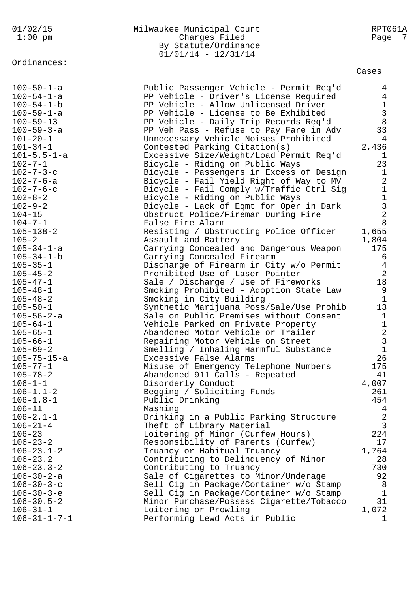Ordinances:

## 01/02/15 Milwaukee Municipal Court RPT061A 1:00 pm Charges Filed Page 7 By Statute/Ordinance 01/01/14 - 12/31/14

Cases

| $100 - 50 - 1 - a$<br>$100 - 54 - 1 - a$<br>$100 - 54 - 1 - b$<br>$100 - 59 - 1 - a$<br>$100 - 59 - 13$<br>$100 - 59 - 3 - a$<br>$101 - 20 - 1$<br>$101 - 34 - 1$<br>$101 - 5.5 - 1 - a$<br>$102 - 7 - 1$<br>$102 - 7 - 3 - c$ | Public Passenger Vehicle - Permit Req'd<br>PP Vehicle - Driver's License Required<br>PP Vehicle - Allow Unlicensed Driver<br>PP Vehicle - License to Be Exhibited<br>PP Vehicle - Daily Trip Records Req'd<br>PP Veh Pass - Refuse to Pay Fare in Adv<br>Unnecessary Vehicle Noises Prohibited<br>Contested Parking Citation(s)<br>Excessive Size/Weight/Load Permit Req'd<br>Bicycle - Riding on Public Ways<br>Bicycle - Passengers in Excess of Design | 4<br>$\overline{4}$<br>$\frac{1}{3}$<br>8<br>33<br>4<br>2,436<br>T,<br>23<br>$\mathbf{1}$ |
|--------------------------------------------------------------------------------------------------------------------------------------------------------------------------------------------------------------------------------|-----------------------------------------------------------------------------------------------------------------------------------------------------------------------------------------------------------------------------------------------------------------------------------------------------------------------------------------------------------------------------------------------------------------------------------------------------------|-------------------------------------------------------------------------------------------|
| $102 - 7 - 6 - a$<br>$102 - 7 - 6 - c$<br>$102 - 8 - 2$<br>$102 - 9 - 2$<br>$104 - 15$<br>$104 - 7 - 1$                                                                                                                        | Bicycle - Fail Yield Right of Way to MV<br>Bicycle - Fail Comply w/Traffic Ctrl Sig<br>Bicycle - Riding on Public Ways<br>Bicycle - Lack of Eqmt for Oper in Dark<br>Obstruct Police/Fireman During Fire<br>False Fire Alarm                                                                                                                                                                                                                              | $\overline{a}$<br>$\mathbf 1$<br>$\mathbf 1$<br>$\frac{3}{2}$<br>8                        |
| $105 - 138 - 2$                                                                                                                                                                                                                | Resisting / Obstructing Police Officer                                                                                                                                                                                                                                                                                                                                                                                                                    | 1,655                                                                                     |
| $105 - 2$                                                                                                                                                                                                                      | Assault and Battery                                                                                                                                                                                                                                                                                                                                                                                                                                       | 1,804                                                                                     |
| $105 - 34 - 1 - a$                                                                                                                                                                                                             | Carrying Concealed and Dangerous Weapon                                                                                                                                                                                                                                                                                                                                                                                                                   | 175                                                                                       |
| $105 - 34 - 1 - b$                                                                                                                                                                                                             | Carrying Concealed Firearm                                                                                                                                                                                                                                                                                                                                                                                                                                | 6                                                                                         |
| $105 - 35 - 1$                                                                                                                                                                                                                 | Discharge of Firearm in City w/o Permit                                                                                                                                                                                                                                                                                                                                                                                                                   | $\overline{4}$                                                                            |
| $105 - 45 - 2$                                                                                                                                                                                                                 | Prohibited Use of Laser Pointer                                                                                                                                                                                                                                                                                                                                                                                                                           | 2                                                                                         |
| $105 - 47 - 1$                                                                                                                                                                                                                 | Sale / Discharge / Use of Fireworks                                                                                                                                                                                                                                                                                                                                                                                                                       | 18                                                                                        |
| $105 - 48 - 1$                                                                                                                                                                                                                 | Smoking Prohibited - Adoption State Law                                                                                                                                                                                                                                                                                                                                                                                                                   | 9                                                                                         |
| $105 - 48 - 2$                                                                                                                                                                                                                 | Smoking in City Building                                                                                                                                                                                                                                                                                                                                                                                                                                  | $\mathbf{1}$                                                                              |
| $105 - 50 - 1$                                                                                                                                                                                                                 | Synthetic Marijuana Poss/Sale/Use Prohib                                                                                                                                                                                                                                                                                                                                                                                                                  | 13                                                                                        |
| $105 - 56 - 2 - a$                                                                                                                                                                                                             | Sale on Public Premises without Consent                                                                                                                                                                                                                                                                                                                                                                                                                   | $\mathbf{1}$                                                                              |
| $105 - 64 - 1$                                                                                                                                                                                                                 | Vehicle Parked on Private Property                                                                                                                                                                                                                                                                                                                                                                                                                        | $\mathbf{1}$                                                                              |
| $105 - 65 - 1$                                                                                                                                                                                                                 | Abandoned Motor Vehicle or Trailer                                                                                                                                                                                                                                                                                                                                                                                                                        | $\overline{a}$                                                                            |
| $105 - 66 - 1$                                                                                                                                                                                                                 | Repairing Motor Vehicle on Street                                                                                                                                                                                                                                                                                                                                                                                                                         | $\mathbf{3}$                                                                              |
| $105 - 69 - 2$                                                                                                                                                                                                                 | Smelling / Inhaling Harmful Substance                                                                                                                                                                                                                                                                                                                                                                                                                     | $\mathbf{1}$                                                                              |
| 105-75-15-a                                                                                                                                                                                                                    | Excessive False Alarms                                                                                                                                                                                                                                                                                                                                                                                                                                    | 26                                                                                        |
| $105 - 77 - 1$                                                                                                                                                                                                                 | Misuse of Emergency Telephone Numbers                                                                                                                                                                                                                                                                                                                                                                                                                     | 175                                                                                       |
| $105 - 78 - 2$                                                                                                                                                                                                                 | Abandoned 911 Calls - Repeated                                                                                                                                                                                                                                                                                                                                                                                                                            | 41                                                                                        |
| $106 - 1 - 1$                                                                                                                                                                                                                  | Disorderly Conduct                                                                                                                                                                                                                                                                                                                                                                                                                                        | 4,007                                                                                     |
| $106 - 1.1 - 2$                                                                                                                                                                                                                | Begging / Soliciting Funds                                                                                                                                                                                                                                                                                                                                                                                                                                | 261                                                                                       |
| $106 - 1.8 - 1$                                                                                                                                                                                                                | Public Drinking                                                                                                                                                                                                                                                                                                                                                                                                                                           | 454                                                                                       |
| $106 - 11$                                                                                                                                                                                                                     | Mashing                                                                                                                                                                                                                                                                                                                                                                                                                                                   | 4                                                                                         |
| $106 - 2.1 - 1$                                                                                                                                                                                                                | Drinking in a Public Parking Structure                                                                                                                                                                                                                                                                                                                                                                                                                    | $\overline{a}$                                                                            |
| $106 - 21 - 4$                                                                                                                                                                                                                 | Theft of Library Material                                                                                                                                                                                                                                                                                                                                                                                                                                 | 3                                                                                         |
| $106 - 23$                                                                                                                                                                                                                     | Loitering of Minor (Curfew Hours)                                                                                                                                                                                                                                                                                                                                                                                                                         | 224                                                                                       |
| $106 - 23 - 2$                                                                                                                                                                                                                 | Responsibility of Parents (Curfew)                                                                                                                                                                                                                                                                                                                                                                                                                        | 17                                                                                        |
| $106 - 23.1 - 2$                                                                                                                                                                                                               | Truancy or Habitual Truancy                                                                                                                                                                                                                                                                                                                                                                                                                               | 1,764                                                                                     |
| $106 - 23.2$                                                                                                                                                                                                                   | Contributing to Delinquency of Minor                                                                                                                                                                                                                                                                                                                                                                                                                      | 28                                                                                        |
| $106 - 23.3 - 2$<br>$106 - 30 - 2 - a$<br>$106 - 30 - 3 - c$<br>$106 - 30 - 3 - e$                                                                                                                                             | Contributing to Truancy<br>Sale of Cigarettes to Minor/Underage<br>Sell Cig in Package/Container w/o Stamp                                                                                                                                                                                                                                                                                                                                                | 730<br>92<br>8<br>$\mathbf{1}$                                                            |
| $106 - 30.5 - 2$<br>$106 - 31 - 1$<br>$106 - 31 - 1 - 7 - 1$                                                                                                                                                                   | Sell Cig in Package/Container w/o Stamp<br>Minor Purchase/Possess Cigarette/Tobacco<br>Loitering or Prowling<br>Performing Lewd Acts in Public                                                                                                                                                                                                                                                                                                            | 31<br>1,072<br>ı.                                                                         |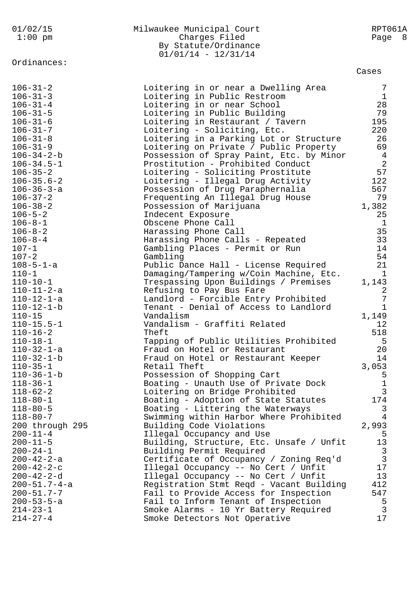| $1:00$ pm                            | Charges Filed<br>By Statute/Ordinance                                  | Page 8                        |  |
|--------------------------------------|------------------------------------------------------------------------|-------------------------------|--|
|                                      | $01/01/14 - 12/31/14$                                                  |                               |  |
| Ordinances:                          |                                                                        |                               |  |
|                                      |                                                                        | Cases                         |  |
| $106 - 31 - 2$                       | Loitering in or near a Dwelling Area                                   | 7                             |  |
| $106 - 31 - 3$                       | Loitering in Public Restroom                                           | $\mathbf{1}$                  |  |
| $106 - 31 - 4$                       | Loitering in or near School                                            | 28                            |  |
| $106 - 31 - 5$                       | Loitering in Public Building                                           | 79                            |  |
| $106 - 31 - 6$                       | Loitering in Restaurant / Tavern                                       | 195                           |  |
| $106 - 31 - 7$                       | Loitering - Soliciting, Etc.                                           | 220                           |  |
| $106 - 31 - 8$                       | Loitering in a Parking Lot or Structure                                | 26                            |  |
| $106 - 31 - 9$                       | Loitering on Private / Public Property                                 | 69                            |  |
| $106 - 34 - 2 - b$                   | Possession of Spray Paint, Etc. by Minor                               | $\overline{4}$                |  |
| $106 - 34.5 - 1$                     | Prostitution - Prohibited Conduct                                      | 2                             |  |
| $106 - 35 - 2$                       | Loitering - Soliciting Prostitute                                      | 57                            |  |
| $106 - 35.6 - 2$                     | Loitering - Illegal Drug Activity                                      | 122                           |  |
| $106 - 36 - 3 - a$                   | Possession of Drug Paraphernalia                                       | 567<br>79                     |  |
| $106 - 37 - 2$<br>$106 - 38 - 2$     | Frequenting An Illegal Drug House                                      | 1,382                         |  |
| $106 - 5 - 2$                        | Possession of Marijuana<br>Indecent Exposure                           | 25                            |  |
| $106 - 8 - 1$                        | Obscene Phone Call                                                     | $\mathbf 1$                   |  |
| $106 - 8 - 2$                        | Harassing Phone Call                                                   | 35                            |  |
| $106 - 8 - 4$                        | Harassing Phone Calls - Repeated                                       | 33                            |  |
| $107 - 1$                            | Gambling Places - Permit or Run                                        | 14                            |  |
| $107 - 2$                            | Gambling                                                               | 54                            |  |
| $108 - 5 - 1 - a$                    | Public Dance Hall - License Required                                   | 21                            |  |
| $110 - 1$                            | Damaging/Tampering w/Coin Machine, Etc.                                | $\mathbf{1}$                  |  |
| $110 - 10 - 1$                       | Trespassing Upon Buildings / Premises                                  | 1,143                         |  |
| $110 - 11 - 2 - a$                   | Refusing to Pay Bus Fare                                               | $\overline{c}$                |  |
| $110 - 12 - 1 - a$                   | Landlord - Forcible Entry Prohibited                                   | $\overline{7}$                |  |
| $110 - 12 - 1 - b$                   | Tenant - Denial of Access to Landlord                                  | $\mathbf{1}$                  |  |
| $110 - 15$                           | Vandalism                                                              | 1,149                         |  |
| $110 - 15.5 - 1$                     | Vandalism - Graffiti Related                                           | 12                            |  |
| $110 - 16 - 2$                       | Theft                                                                  | 518                           |  |
| $110 - 18 - 1$                       | Tapping of Public Utilities Prohibited                                 | 5                             |  |
| $110 - 32 - 1 - a$                   | Fraud on Hotel or Restaurant                                           | 20                            |  |
| $110 - 32 - 1 - b$                   | Fraud on Hotel or Restaurant Keeper                                    | 14                            |  |
| $110 - 35 - 1$                       | Retail Theft                                                           | 3,053                         |  |
| $110 - 36 - 1 - b$<br>$118 - 36 - 1$ | Possession of Shopping Cart                                            | 5                             |  |
| $118 - 62 - 2$                       | Boating - Unauth Use of Private Dock<br>Loitering on Bridge Prohibited | $\mathbf 1$<br>$\mathfrak{Z}$ |  |
| $118 - 80 - 1$                       | Boating - Adoption of State Statutes                                   | 174                           |  |
| $118 - 80 - 5$                       | Boating - Littering the Waterways                                      | 3                             |  |
| $118 - 80 - 7$                       | Swimming within Harbor Where Prohibited                                | 4                             |  |
| 200 through 295                      | Building Code Violations                                               | 2,993                         |  |
| $200 - 11 - 4$                       | Illegal Occupancy and Use                                              | 5                             |  |
| $200 - 11 - 5$                       | Building, Structure, Etc. Unsafe / Unfit                               | 13                            |  |
| $200 - 24 - 1$                       | Building Permit Required                                               | $\mathbf{3}$                  |  |
| $200 - 42 - 2 - a$                   | Certificate of Occupancy / Zoning Req'd                                | $\overline{3}$                |  |
| $200 - 42 - 2 - c$                   | Illegal Occupancy -- No Cert / Unfit                                   | 17                            |  |
| $200 - 42 - 2 - d$                   | Illegal Occupancy -- No Cert / Unfit                                   | 13                            |  |
| $200 - 51.7 - 4 - a$                 | Registration Stmt Reqd - Vacant Building                               | 412                           |  |
| $200 - 51.7 - 7$                     | Fail to Provide Access for Inspection                                  | 547                           |  |
| $200 - 53 - 5 - a$                   | Fail to Inform Tenant of Inspection                                    | 5                             |  |
| $214 - 23 - 1$                       | Smoke Alarms - 10 Yr Battery Required                                  | $\mathbf{3}$                  |  |
| $214 - 27 - 4$                       | Smoke Detectors Not Operative                                          | 17                            |  |
|                                      |                                                                        |                               |  |

01/02/15 Milwaukee Municipal Court RPT061A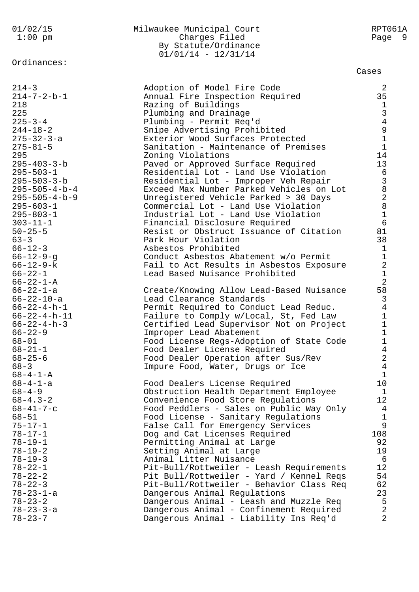Ordinances:

## 01/02/15 Milwaukee Municipal Court RPT061A 1:00 pm Charges Filed Page 9 By Statute/Ordinance 01/01/14 - 12/31/14

Cases

| $214 - 3$                         |                                                                          |                                                 |
|-----------------------------------|--------------------------------------------------------------------------|-------------------------------------------------|
|                                   | Adoption of Model Fire Code                                              | 2                                               |
| $214 - 7 - 2 - b - 1$             | Annual Fire Inspection Required                                          | 35                                              |
| 218                               | Razing of Buildings                                                      | 134911                                          |
| 225                               | Plumbing and Drainage                                                    |                                                 |
| $225 - 3 - 4$                     | Plumbing - Permit Req'd                                                  |                                                 |
| $244 - 18 - 2$                    | Snipe Advertising Prohibited                                             |                                                 |
| $275 - 32 - 3 - a$                | Exterior Wood Surfaces Protected                                         |                                                 |
| $275 - 81 - 5$                    | Sanitation - Maintenance of Premises                                     |                                                 |
| 295                               | Zoning Violations                                                        | 14                                              |
| $295 - 403 - 3 - b$               | Paved or Approved Surface Required                                       | 13                                              |
| $295 - 503 - 1$                   | Residential Lot - Land Use Violation                                     | 6                                               |
| $295 - 503 - 3 - b$               | Residential Lot - Improper Veh Repair                                    | $\mathfrak{Z}$<br>$\overline{8}$                |
| $295 - 505 - 4 - b - 4$           | Exceed Max Number Parked Vehicles on Lot                                 |                                                 |
| $295 - 505 - 4 - b - 9$           | Unregistered Vehicle Parked > 30 Days                                    | $\begin{array}{c} 2 \\ 8 \end{array}$           |
| $295 - 603 - 1$                   | Commercial Lot - Land Use Violation                                      | $\mathbf 1$                                     |
| $295 - 803 - 1$<br>$303 - 11 - 1$ | Industrial Lot - Land Use Violation                                      | $6\overline{6}$                                 |
| $50 - 25 - 5$                     | Financial Disclosure Required<br>Resist or Obstruct Issuance of Citation | 81                                              |
| $63 - 3$                          | Park Hour Violation                                                      | 38                                              |
| $66 - 12 - 3$                     | Asbestos Prohibited                                                      | $\mathbf{1}$                                    |
| $66 - 12 - 9 - g$                 | Conduct Asbestos Abatement w/o Permit                                    | $\mathbf 1$                                     |
| $66 - 12 - 9 - k$                 | Fail to Act Results in Asbestos Exposure                                 | $\overline{a}$                                  |
| $66 - 22 - 1$                     | Lead Based Nuisance Prohibited                                           | $\mathbf 1$                                     |
| $66 - 22 - 1 - A$                 |                                                                          | $\overline{2}$                                  |
| 66-22-1-a                         | Create/Knowing Allow Lead-Based Nuisance                                 | 58                                              |
| $66 - 22 - 10 - a$                | Lead Clearance Standards                                                 | $\mathfrak{Z}$                                  |
| $66 - 22 - 4 - h - 1$             | Permit Required to Conduct Lead Reduc.                                   | $\overline{4}$                                  |
| $66 - 22 - 4 - h - 11$            | Failure to Comply w/Local, St, Fed Law                                   | $\mathbf 1$                                     |
| $66 - 22 - 4 - h - 3$             | Certified Lead Supervisor Not on Project                                 | $\overline{1}$                                  |
| $66 - 22 - 9$                     | Improper Lead Abatement                                                  | $\mathbf 1$                                     |
| $68 - 01$                         | Food License Regs-Adoption of State Code                                 | $\begin{array}{c} 1 \\ 4 \\ 2 \\ 4 \end{array}$ |
| $68 - 21 - 1$                     | Food Dealer License Required                                             |                                                 |
| $68 - 25 - 6$                     | Food Dealer Operation after Sus/Rev                                      |                                                 |
| $68 - 3$                          | Impure Food, Water, Drugs or Ice                                         |                                                 |
| $68 - 4 - 1 - A$                  |                                                                          | $1\,$                                           |
| $68 - 4 - 1 - a$                  | Food Dealers License Required                                            | 10                                              |
| $68 - 4 - 9$                      | Obstruction Health Department Employee                                   | $\mathbf{1}$                                    |
| $68 - 4.3 - 2$                    | Convenience Food Store Regulations                                       | 12                                              |
| $68 - 41 - 7 - c$                 | Food Peddlers - Sales on Public Way Only                                 | $\overline{4}$                                  |
| $68 - 51$                         | Food License - Sanitary Regulations                                      | $\mathbf{1}$                                    |
| $75 - 17 - 1$                     | False Call for Emergency Services                                        | 9                                               |
| $78 - 17 - 1$<br>$78 - 19 - 1$    | Dog and Cat Licenses Required                                            | 108<br>92                                       |
| $78 - 19 - 2$                     | Permitting Animal at Large<br>Setting Animal at Large                    | 19                                              |
| $78 - 19 - 3$                     | Animal Litter Nuisance                                                   | 6                                               |
| $78 - 22 - 1$                     | Pit-Bull/Rottweiler - Leash Requirements                                 | 12                                              |
| $78 - 22 - 2$                     | Pit Bull/Rottweiler - Yard / Kennel Reqs                                 | 54                                              |
| $78 - 22 - 3$                     | Pit-Bull/Rottweiler - Behavior Class Req                                 | 62                                              |
| $78 - 23 - 1 - a$                 | Dangerous Animal Regulations                                             | 23                                              |
| $78 - 23 - 2$                     | Dangerous Animal - Leash and Muzzle Req                                  | 5                                               |
| $78 - 23 - 3 - a$                 | Dangerous Animal - Confinement Required                                  | $\overline{2}$                                  |
| $78 - 23 - 7$                     | Dangerous Animal - Liability Ins Req'd                                   | $\sqrt{2}$                                      |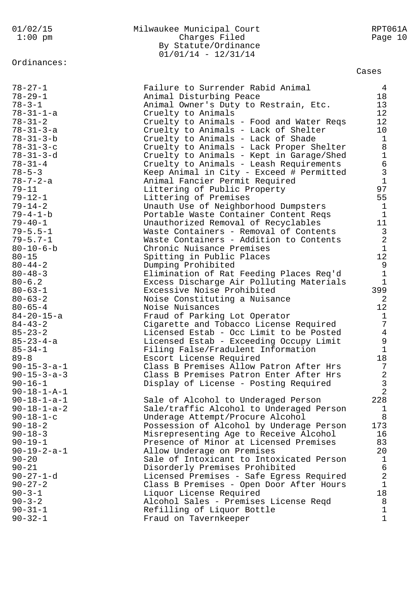By Statute/Ordinance  $01/01/14 - 12/31/14$ Ordinances: Cases 78-27-1 Failure to Surrender Rabid Animal 4 78-29-1 Animal Disturbing Peace 18 78-3-1 Animal Owner's Duty to Restrain, Etc. 13 78-31-1-a Cruelty to Animals 12 78-31-2 Cruelty to Animals - Food and Water Reqs 12 78-31-3-a Cruelty to Animals - Lack of Shelter 10 78-31-3-b Cruelty to Animals - Lack of Shade 1 78-31-3-c Cruelty to Animals - Lack Proper Shelter 8 78-31-3-d Cruelty to Animals - Kept in Garage/Shed 1 78-31-4 Cruelty to Animals - Leash Requirements 6 78-5-3 Keep Animal in City - Exceed # Permitted 3 78-7-2-a Animal Fancier Permit Required 1 79-11 **Littering of Public Property** 97 79-12-1 Littering of Premises 55 79-14-2 Unauth Use of Neighborhood Dumpsters 1 79-4-1-b Portable Waste Container Content Reqs 1 79-40-1 Unauthorized Removal of Recyclables 11 79-5.5-1 Waste Containers - Removal of Contents 3 79-5.7-1 Waste Containers - Addition to Contents 2 80-10-6-b Chronic Nuisance Premises 1 80-15 Spitting in Public Places 12 80-44-2 Dumping Prohibited 9 80-48-3 Elimination of Rat Feeding Places Req'd 1 80-6.2 Excess Discharge Air Polluting Materials 1 80-63-1 Excessive Noise Prohibited 399 80-63-2 Noise Constituting a Nuisance 2 80-65-4 Noise Nuisances 12 84-20-15-a Fraud of Parking Lot Operator 1 84-43-2 Cigarette and Tobacco License Required 7 85-23-2 Licensed Estab - Occ Limit to be Posted 4 85-23-4-a Licensed Estab - Exceeding Occupy Limit 9 85-34-1 Filing False/Fradulent Information 1 89-8 Escort License Required 18 90-15-3-a-1 Class B Premises Allow Patron After Hrs 7 90-15-3-a-3 Class B Premises Patron Enter After Hrs 2 90-16-1 Display of License - Posting Required 3 90-18-1-A-1 2 90-18-1-a-1 Sale of Alcohol to Underaged Person 228 90-18-1-a-2 Sale/traffic Alcohol to Underaged Person 1 90-18-1-c Underage Attempt/Procure Alcohol 8 90-18-2 Possession of Alcohol by Underage Person 173 90-18-3 Misrepresenting Age to Receive Alcohol 16 90-19-1 Presence of Minor at Licensed Premises 83 90-19-2-a-1 Allow Underage on Premises 20 90-20 Sale of Intoxicant to Intoxicated Person 1 90-21 Disorderly Premises Prohibited 6 90-27-1-d Licensed Premises - Safe Egress Required 2 90-27-2 Class B Premises - Open Door After Hours 1 90-3-1 Liquor License Required 18 90-3-2 Alcohol Sales - Premises License Reqd 8 90-31-1 Refilling of Liquor Bottle 1 90-32-1 Fraud on Tavernkeeper 1

01/02/15 Milwaukee Municipal Court RPT061A 1:00 pm charges Filed Page 10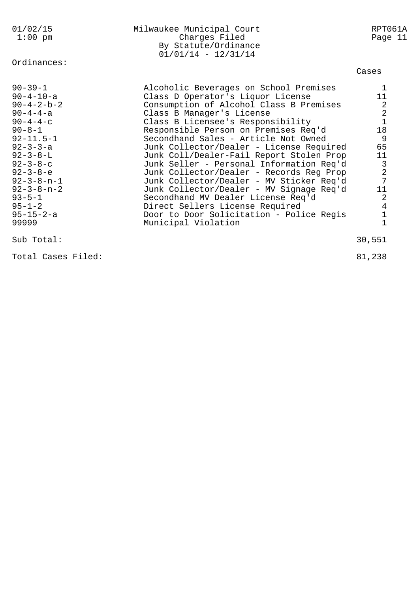| 01/02/15<br>$1:00$ pm                                                                                                                                                                                                                                                                                                               | Milwaukee Municipal Court<br>Charges Filed<br>By Statute/Ordinance<br>$01/01/14 - 12/31/14$                                                                                                                                                                                                                                                                                                                                                                                                                                                                                                                                                                                                  | RPT061A<br>Page 11                                                                                                                                                                                     |
|-------------------------------------------------------------------------------------------------------------------------------------------------------------------------------------------------------------------------------------------------------------------------------------------------------------------------------------|----------------------------------------------------------------------------------------------------------------------------------------------------------------------------------------------------------------------------------------------------------------------------------------------------------------------------------------------------------------------------------------------------------------------------------------------------------------------------------------------------------------------------------------------------------------------------------------------------------------------------------------------------------------------------------------------|--------------------------------------------------------------------------------------------------------------------------------------------------------------------------------------------------------|
| Ordinances:                                                                                                                                                                                                                                                                                                                         |                                                                                                                                                                                                                                                                                                                                                                                                                                                                                                                                                                                                                                                                                              | Cases                                                                                                                                                                                                  |
| $90 - 39 - 1$<br>$90 - 4 - 10 - a$<br>$90 - 4 - 2 - b - 2$<br>$90 - 4 - 4 - a$<br>$90 - 4 - 4 - c$<br>$90 - 8 - 1$<br>$92 - 11.5 - 1$<br>$92 - 3 - 3 - a$<br>$92 - 3 - 8 - L$<br>$92 - 3 - 8 - c$<br>$92 - 3 - 8 - e$<br>$92 - 3 - 8 - n - 1$<br>$92 - 3 - 8 - n - 2$<br>$93 - 5 - 1$<br>$95 - 1 - 2$<br>$95 - 15 - 2 - a$<br>99999 | Alcoholic Beverages on School Premises<br>Class D Operator's Liquor License<br>Consumption of Alcohol Class B Premises<br>Class B Manager's License<br>Class B Licensee's Responsibility<br>Responsible Person on Premises Req'd<br>Secondhand Sales - Article Not Owned<br>Junk Collector/Dealer - License Required<br>Junk Coll/Dealer-Fail Report Stolen Prop<br>Junk Seller - Personal Information Req'd<br>Junk Collector/Dealer - Records Reg Prop<br>Junk Collector/Dealer - MV Sticker Req'd<br>Junk Collector/Dealer - MV Signage Req'd<br>Secondhand MV Dealer License Req'd<br>Direct Sellers License Required<br>Door to Door Solicitation - Police Regis<br>Municipal Violation | 1<br>11<br>$\boldsymbol{2}$<br>$\begin{bmatrix} 2 \\ 1 \end{bmatrix}$<br>18<br>9<br>65<br>11<br>$\begin{array}{c} 3 \\ 2 \\ 7 \end{array}$<br>11<br>$\overline{2}$<br>$\overline{4}$<br>$\overline{1}$ |
| Sub Total:                                                                                                                                                                                                                                                                                                                          |                                                                                                                                                                                                                                                                                                                                                                                                                                                                                                                                                                                                                                                                                              | 30,551                                                                                                                                                                                                 |

Total Cases Filed: 81,238